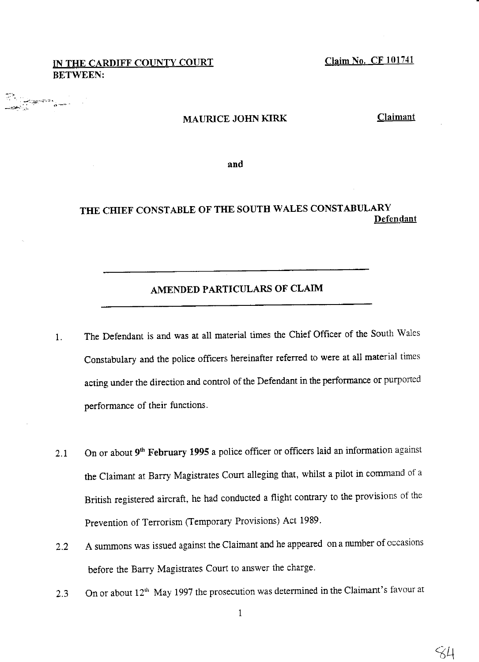# IN THE CARDIFF COUNTY COURT BETWEEN:

Claim No. CF 101741

#### MAURICE JOHN KIRK

Claimant

and

# THE CHIEF CONSTABLE OF THE SOUTH WALES CONSTABULARY Defendant

# AMENDED PARTICULARS OF CLAIM

- 1. The Defendant is and was at all material times the chief officer of the south wales constabulary and the police officers hereinafter referred to were at all material times acting under the direction and control of the Defendant in the performance or purported oerformance of their functions.
- 2.1 On or about  $9<sup>th</sup>$  February 1995 a police officer or officers laid an information against the Claimant at Barry Magistrates Court alleging that, whilst a pilot in command of a British registered aircraft, he had conducted a flight contrary to the provisions of the Prevention of Terrorism (Temporary Provisions) Act 1989.
- 2.2 A summons was issued against the Claimant and he appeared on a number of occasions before the Barry Magistrates Court to answer the charge.
- 2.3 On or about  $12<sup>th</sup>$  May 1997 the prosecution was determined in the Claimant's favour at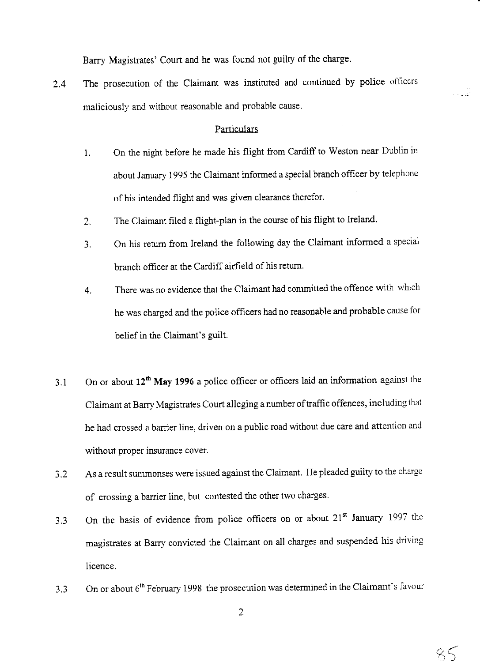Barry Magistrates' Court and he was found not guilty of the charge.

2.4 The prosecution of the Claimant was instituted and continued by police officers maliciously and without reasonable and probable cause.

### **Particulars**

- 1. On the night before he made his flight from cardiff to weston near Dubiin in about January 1995 the Claimant informed a special branch officer by telephone of his intended flight and was given clearance therefor.
- 2. The Claimant filed a flight-plan in the course of his flight to Ireland.
- 3. On his retum from Ireland the following day the claimant informed a special branch officer at the Cardiff airfield of his return.
- 4. There was no evidence that the claimant had committed the offence with which he was charged and the police offtcers had no reasonable and probable cause for belief in the Claimant's guilt.
- 3.1 On or about 12<sup>th</sup> May 1996 a police officer or officers laid an information against the claimant at Barry Magistrates court alleging a number of traffic offences, including that he had crossed a barrier line. driven on a public road without due care and attention and without proper insurance cover.
- 3.2 As a result summonses were issued against the claimant. He pleaded guilty to the charge of crossing a barrier line, but contested the other two charges.
- 3.3 On the basis of evidence from police offtcers on or about 21" January 1997 the magistrates at Barry convicted the claimant on all charges and suspended his driving licence.
- 3.3 On or about  $6<sup>th</sup>$  February 1998 the prosecution was determined in the Claimant's favour

 $85$ 

.<br>الفارسية ال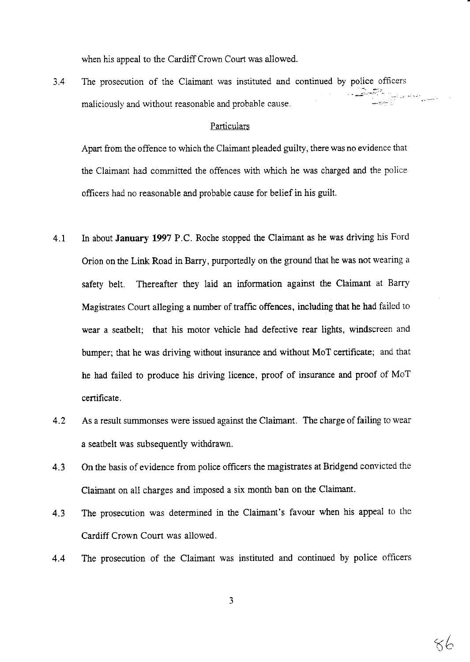when his appeal to the Cardiff Crown Court was allowed.

 $3.4$ The prosecution of the Claimant was instituted and continued by police officers maliciously and without reasonable and probable cause.

### Particulars

Apart from the offence to which the Claimant pleaded guilty, there was no evidence that the Claimant had committed the offences with which he was charged and the police officers had no reasonable and probable cause for belief in his guilt.

- A1 In about January 1997 P.C. Roche stopped the Ciaimant as he was driving his Ford Orion on the Link Road in Barry, purportedly on the ground that he was not wearing a safety belt. Thereafter they iaid an information against the Claimant at Barry Magistrates Court alleging a number of traffic offences, including that he had failed to wear a seatbelt; that his motor vehicle had defective rear lights, windscreen and bumper; that he was driving without insurance and without MoT certificate; and that he had failed to produce his driving licence, proof of insurance and proof of MoT certificate.
- As a result summonses were issued against the Claimant. The charge of failing to wear a seatbelt was subsequently withdrawn. 4.2
- On the basis of evidence from poiice ofircers the magistrates at Bridgend convicted the Claimant on al1 charges and imposed a six month ban on the Claimant. 4.3
- The prosecution was determined in the Claimant's favour when his appeal to the Cardiff Crown Court was allowed. 4.3
- The prosecution of the Claimant was instituted and continued by police officers 4.4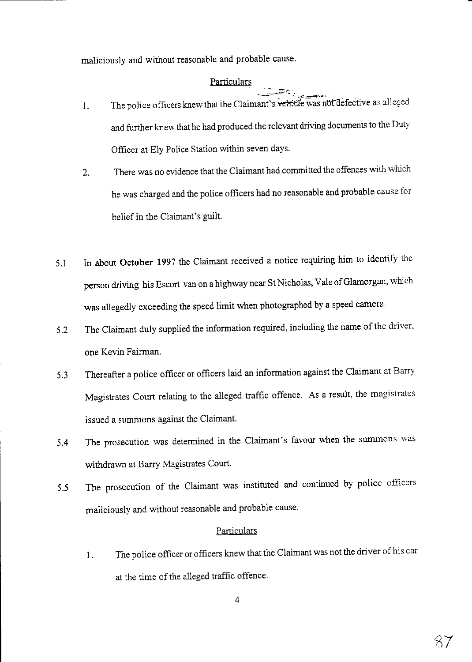maliciously and without reasonable and probable cause.

# Particulars

- '--':'' ' ,'-i:+," 1. The police officers knew that the Claimant's vehicle was not defective as alleged and further knew that he had produced the relevant driving documents to the Duty Officer at Ely Police Station within seven days.
- 2. There was no evidence that the ciaimant had committed the offences with which he was charged and the police officers had no reasonable and probable cause for belief in the Claimant's guilt.
- 5.i In about October 1997 the Claimant received a notice requiring him to identify the person driving his Escort van on a highway near St Nicholas, Vale of Glamorgan, which was allegedly exceeding the speed limit when photographed by a speed camera.
- 5.2 The Claimant duly supplied the information required, including the name of the driver, one Kevin Fairman.
- 5.3 Thereafter a police officer or officers laid an information against the claimant at Barry Magistrates Court relating to the alleged traffic offence. As a result, the magistrates issued a summons against the Claimant.
- 5.4 The prosecution was determined in the Claimant's favour when the summons was withdrawn at Barry Magistrates Court.
- 5.5 The prosecution of the Claimant was instituted and continued by police offrcers maliciously and without reasonable and probable cause.

### **Particulars**

1. The police officer or officers knew that the Claimant was not the driver of his car at the time of the alleged traffic offence.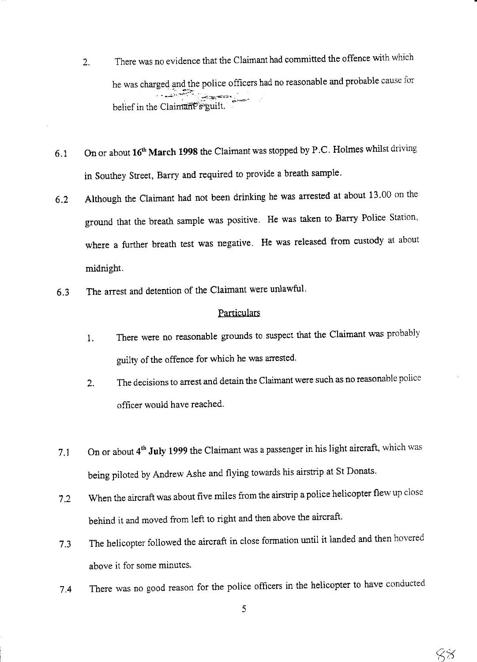- 2. There was no evidence that the Claimant had committed the offence with which he was charged and the police officers had no reasonable and probable cause for م <del>المتحد</del>ين .<br>المس belief in the Claimant<sup>P</sup>s guilt. .<br>.<br>.
- 6.1 On or about  $16^{th}$  March 1998 the Claimant was stopped by P.C. Holmes whilst driving in Southey Street, Barry and required to provide a breath sample.
- 6.2 Although the claimant had not been drinking he was arrested at about 13.00 on the ground that the breath sample was positive. He was taken to Barry Police Station, where a further breath test was negative. He was released from custody at about midnight.
- 6.3 The arrest and detention of the Claimant were unlawful'

### **Particulars**

- 1. There were no reasonable grounds to suspect that the Claimant was probably guilty of the offence for which he was arrested.
- 2. The decisions to arrest and detain the Claimant were such as no reasonable police officer would have reached.
- 7.1 On or about 4<sup>th</sup> July 1999 the Claimant was a passenger in his light aircraft, which was being piloted by Andrew Ashe and flying towards his airstrip at St Donats.
- 7.2 When the aircraft was about five miles from the airstrip a police helicopter flew up close behind it and moved from left to right and then above the aircraft.
- 7.3 The helicopter followed the aircraft in close formation until it landed and then hovered above it for some minutes.
- 7.4 There was no good reason for the police officers in the helicopter to have conducted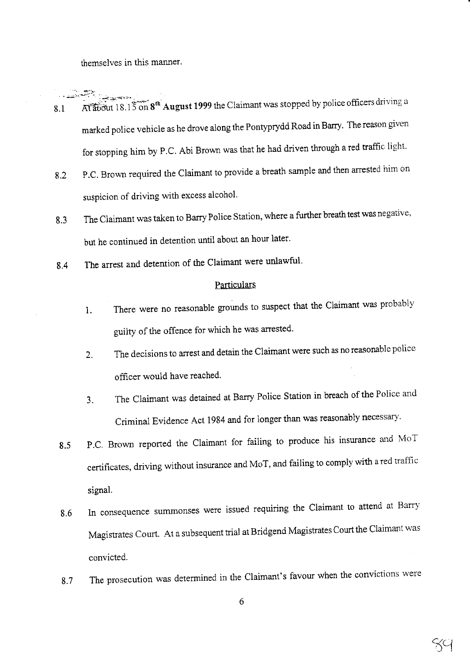themselves in this manner.

- At about 18.15 on  $8<sup>th</sup>$  August 1999 the Claimant was stopped by police officers driving a  $8.1$ marked police vehicle as he drove along the Pontyprydd Road in Barry. The reason given for stopping him by P.C. Abi Brown was that he had driven through a red traffic light.
- 8.2 P.C. Brown required the Claimant to provide a breath sample and then arrested him on suspicion of driving with excess alcohol.
- 6.J The Claimant was taken to Barry Police Station, where a further breath test was negative, but he continued in detention until about an hour later.
- 8.4 The arrest and detention of the Claimant were unlawful.

#### **Particulars**

- 1. There were no reasonable grounds to suspect that the Claimant was probably guilty of the offence for which he was arrested.
- 2. The decisions to arrest and detain the Claimant were such as no reasonable police officer would have reached.
- 3. The Claimant was detained at Barry Police Station in breach of the Police and Criminal Evidence Act 1984 and for longer than was reasonably necessary.
- 8.5 P.C. Brown reported the Claimant for failing to produce his insurance and MoT certificates, driving without insurance and MoT, and failing to comply with a red traffic signal.
- 8.6 In consequence summonses were issued requiring the Claimant to attend at Barry Magistrates Court. At a subsequent trial at Bridgend Magistrates Court the Claimant was convicted.
- 8.7 The prosecution was determined in the Claimant's favour when the convictions were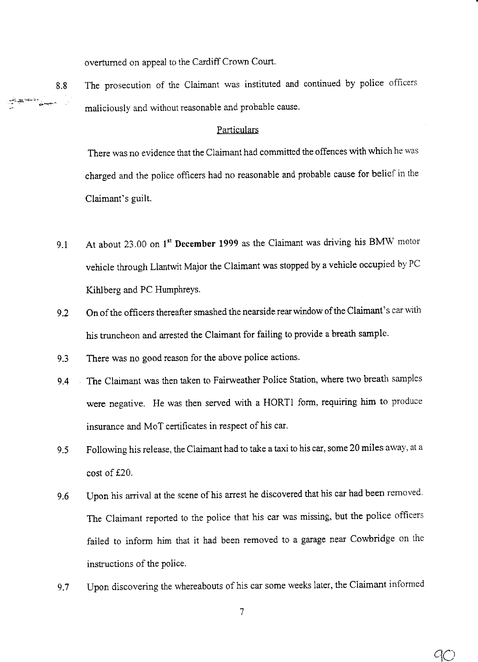overtumed on appeal to the Cardiff Crown Court.

8.8 The prosecution of the Claimant was instituted and continued by police officers maliciously and without reasonable and probable cause.

# Particulars

There was no evidence that the Claimant had committed the offences with which he was charged and the police officers had no reasonable and probable cause for belief in the Claimant's guilt.

- At about 23.00 on 1<sup>st</sup> December 1999 as the Claimant was driving his BMW motor vehicle through Llantwit Major the claimant was stopped by a vehicle occupied by PC Kihlberg and PC Humphreys. 9.1
- On of the officers thereafter smashed the nearside rear window of the Claimant's car with his truncheon and arrested the Claimant for failing to provide a breath sample. 9.2
- There was no good reason for the above police actions. 9.3
- The Claimant was then taken to Fairweather Police Station, where two breath samples were negative. He was then served with a HORTI form, requiring him to produce insurance and MoT certificates in respect of his car. 9.4
- Following his release, the Claimant had to take a taxi to his car, some 20 miies away, at <sup>a</sup> cost of f20.  $9.5$
- Upon his arrival at the scene of his arrest he discovered that his car had been removed. The Claimant reported to the police that his car was missing, but the police officers failed to inform him that it had been removed to a garage near Cowbridge on the instructions of the police. v.o
- Upon discovering the whereabouts of his car some weeks later, the Claimant informed 9.7

9C)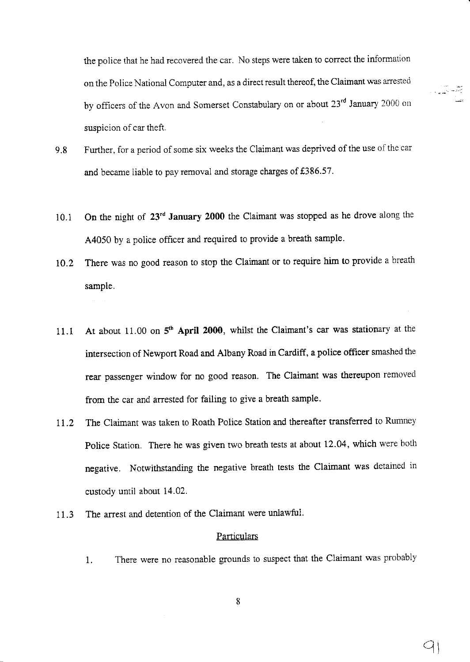the police that he had recovered the car. No steps were taken to correct the information on the Police National Computer and, as a direct result thereof, the Claimant was anested by officers of the Avon and Somerset Constabulary on or about 23<sup>rd</sup> January 2000 on suspicion of car theft.

- 9.8 Further, for a period of some six weeks the Claimant was deprived of the use of the car and became liable to pay removal and storage charges of  $£386.57$ .
- 10.1 On the night of 23<sup>rd</sup> January 2000 the Claimant was stopped as he drove along the 44050 by a police officer and required to provide a breath sample.
- 10.2 There was no good reason to stop the Claimant or to require him to provide a breath sample.
- 11.1 At about 11.00 on  $5<sup>th</sup>$  April 2000, whilst the Claimant's car was stationary at the intersection of Newport Road and Albany Road in Cardiff, a police offtcer smashed the rear passenger window for no good reason. The Claimant was thereupon removed from the car and arrested for failing to give a breath sample.
- 11.2 The Claimant was taken to Roath Police Station and thereafter transferred to Rumney Police Station. There he was given two breath tests at about 12.04, which were both negative. Notwithstanding the negative breath tests the claimant was detained in custody until about 14.02.
- 11.3 The arrest and detention of the Claimant were unlawful.

### **Particulars**

1. There were no reasonable grounds to suspect that the Claimant was probably

:,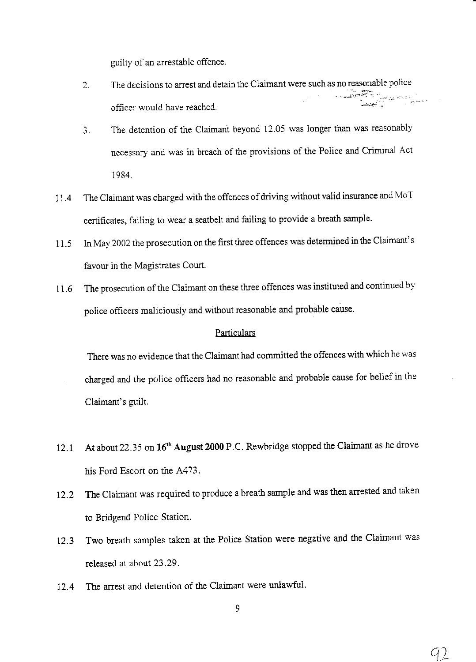guilty of an arrestable offence.

- 2. The decisions to arrest and detain the claimant were such as no reasonable police '-,':'' .-. officer would have reached.
- 3. The detention of the claimant beyond 12.05 was longer than was reasonably necessary and was in breach of the provisions of the Police and criminal Act 1984.
- II.4 The Claimant was charged with the offences of driving without valid insurance and MoT certificates, failing to wear a seatbelt and failing to provide a breath sample.
- 11.5 In May 2002 the prosecution on the first three offences was determined in the Claimant's favour in the Magistrates Court.
- 11.6 The prosecution of the Claimant on these three offences was instituted and continued by police ofiicers maliciously and without reasonable and probable cause.

# **Particulars**

There was no evidence that the Claimant had committed the offences with which he was

- charged and the police offrcers had no reasonable and probable cause for belief in the Claimant's euilt.
- 12.1 At about 22.35 on 16<sup>th</sup> August 2000 P.C. Rewbridge stopped the Claimant as he drove his Ford Escort on the A473.
- 12.2 The Claimant was required to produce a breath sample and was then arrested and taken to Bridgend Police Station.
- I2.3 Two breath samples taken at the Police Station were negative and the Claimant was released at about 23 .29 .
- I2.4 The arrest and detention of the Claimant were unlawfui.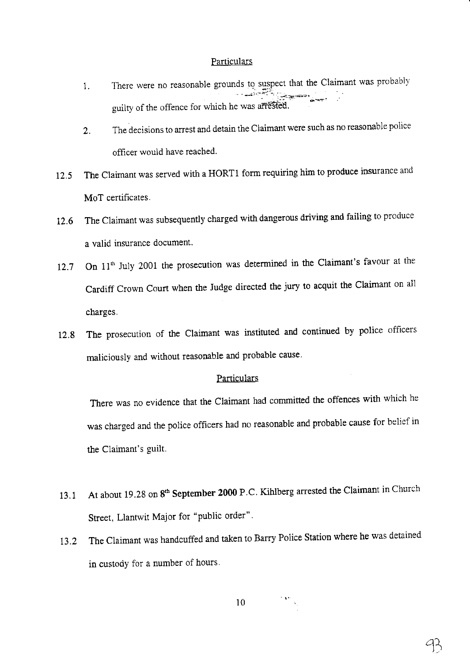### **Particulars**

- 1. There were no reasonable grounds to suspect that the Claimant was probably guilty of the offence for which he was arrested.
- 2. The decisions to arrest and detain the Claimant were such as no reasonable police officer would have reached'
- 12.5 The claimant was served with a HORT1 form requiring him to produce insurance and MoT certificates.
- 12.6 The claimant was subsequently charged with dangerous driving and failing to produce a valid insurance document.
- 12.7 On  $11<sup>th</sup>$  July 2001 the prosecution was determined in the Claimant's favour at the Cardiff Crown Court when the Judge directed the jury to acquit the Claimant on all charges.
- 12.8 The prosecution of the claimant was instituted and continued by police officers maliciously and without reasonable and probable cause

# **Particulars**

There was no evidence that the Claimant had committed the offences with which he was charged and the police officers had no reasonable and probable cause for belief in the Claimant's guilt.

- 13.1 At about 19.28 on 8<sup>th</sup> September 2000 P.C. Kihlberg arrested the Claimant in Church Street, Llantwit Major for "public order".
- 13.2 The claimant was handcuffed and taken to Barry Police station where he was detained in custody for a number of hours.

10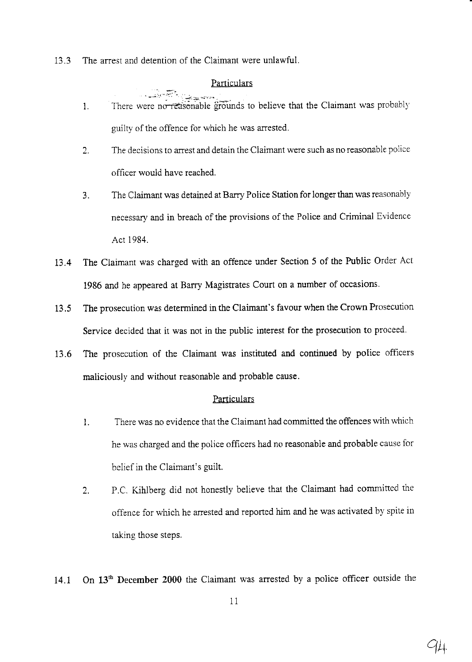13.3 The arrest and detention of the Claimant were unlawful.

# **Particulars**

- l. There were no relationable grounds to believe that the Claimant was probably guilty of the offence for which he was arrested.
- 2. The decisions to arrest and detain the Claimant were such as no reasonable police officer would have reached.
- The Claimant was detained at Barry Police Station for longer than was reasonably necessary and in breach of the provisions of the Police and Criminal Evidence Act 1984. 3.
- L3.4 The Claimant was charged with an offence under Section 5 of the Public Order Act 1986 and he appeared at Barry Magistrates Court on a number of occasions.
- 13.5 The prosecution was determined in the Claimant's favour when the Crown Prosecution Service decided that it was not in the public interest for the prosecution to proceed.
- 13.6 The prosecution of the Claimant was instituted and continued by police officers maliciously and without reasonable and probable cause.

# **Particulars**

- l. There was no evidence that the Claimant had committed the offences with which he was charged and the police officers had no reasonable and probable cause for belief in the Claimant's guilt.
- 2. P.C. Kihlberg did not honestly believe that the Claimant had committed the offence for which he arrested and reported him and he was activated by spite in taking those steps.

14.1 On 13<sup>th</sup> December 2000 the Claimant was arrested by a police officer outside the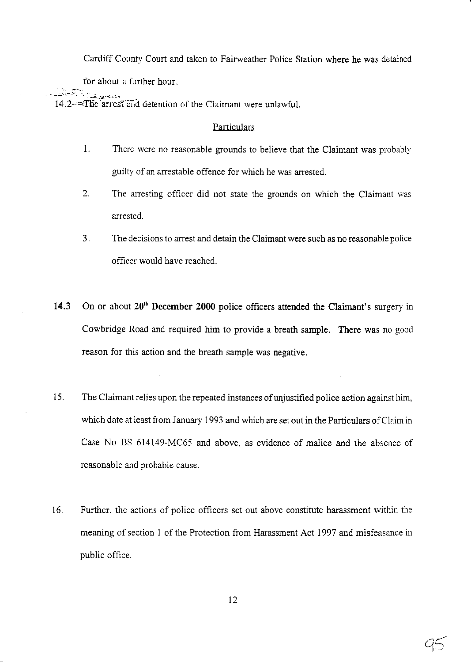Cardiff County Court and taken to Fairweather Police Station where he was detained

for about a further hour.

14.2— $\epsilon$  arrest and detention of the Claimant were unlawful.

# Particulars

- 1. There were no reasonable grounds to believe that the Claimant was probably guilty of an arrestable offence for which he was arrested.
- 2. The arresting officer did not state the grounds on which the Claimant was arrested.
- The decisions to arrest and detain the Claimant were such as no reasonable police officer would have reached. J.
- 14.3 On or about  $20<sup>th</sup>$  December 2000 police officers attended the Claimant's surgery in Cowbridge Road and required him to provide a breath sample. There was no good teason for this action and the breath sample was negative.
- 15. The Claimant relies upon the repeated instances of unjustified police action against him, which date at least from January 1993 and which are set out in the Particulars of Claim in Case No BS 614149-MC65 and above. as evidence of malice aad the absence of reasonable and probable cause.
- 16. Further, the actions of poiice officers set out above constitute harassment within the meaning of section 1 of the Protection from Harassment Act 1997 and misfeasance in public office.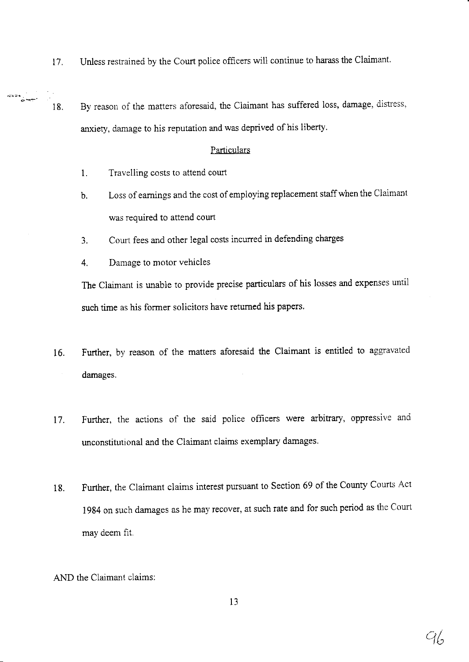- I7. Unless restrained by the Court police officers will continue to harass the Claimant.
- $\frac{d\mathbf{X}^{\mathbf{D}}\mathbf{e}}{d\mathbf{X}^{\mathbf{D}}\mathbf{e}^{\mathbf{T}}},$ 18. By reason of the matters aforesaid, the Claimant has suffered loss, damage, distress, anxiety, damage to his reputation and was deprived of his liberty.

# Particulars

- 1. Travelling costs to attend court
- b. Loss of eamings and the cost of employing replacement staffwhen the Claimant was required to attend court
- 3. Court fees and other legal costs incurred in defending charges
- 4, Damage to motor vehicles

The Claimant is unable to provide precise particulars of his losses and expenses until such time as his former solicitors have retumed his papers.

- 16. Further, by reason of the matters aforesaid the Claimant is entitled to aggravated damages.
- 17. Further, the actions of the said police officers were arbitrary, oppressive and unconstitutional and the Claimant claims exemplary damages.
- 18. Further, the Claimant claims interest pursuant to Section 69 of the County Courts Act 1984 on such damages as he may recover, at such rate and for such period as the Courtmav deem fit.
- AND the Claimant claims: